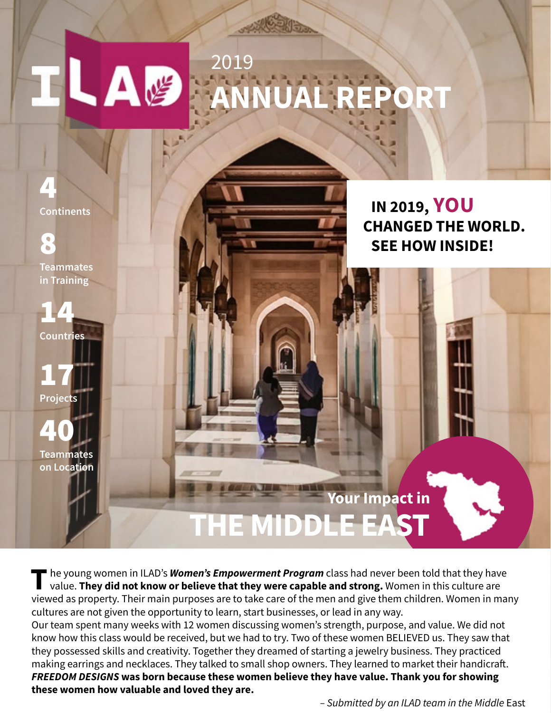# 2019 ILΔ **ANNUAL REPORT**

4 **Continents**

8 **Teammates in Training**

14 **Countries**

17 **Projects**

40 **Teammates on Location**

**IN 2019, YOU CHANGED THE WORLD. SEE HOW INSIDE!**

**Your Impact in THE MIDDLE EAS** 

The young women in ILAD's **Women's Empowerment Program** class had never been told that they have<br>value. **They did not know or believe that they were capable and strong.** Women in this culture are viewed as property. Their main purposes are to take care of the men and give them children. Women in many cultures are not given the opportunity to learn, start businesses, or lead in any way.

Our team spent many weeks with 12 women discussing women's strength, purpose, and value. We did not know how this class would be received, but we had to try. Two of these women BELIEVED us. They saw that they possessed skills and creativity. Together they dreamed of starting a jewelry business. They practiced making earrings and necklaces. They talked to small shop owners. They learned to market their handicraft. *FREEDOM DESIGNS* **was born because these women believe they have value. Thank you for showing these women how valuable and loved they are.** 

*– Submitted by an ILAD team in the Middle* East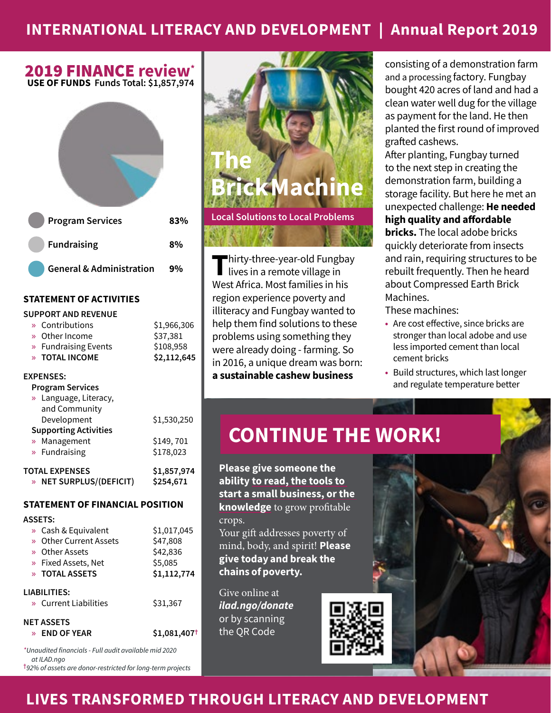### **INTERNATIONAL LITERACY AND DEVELOPMENT** | **Annual Report 2019**

## 2019 FINANCE **review\***

**USE OF FUNDS Funds Total: \$1,857,974**



#### **STATEMENT OF ACTIVITIES**

#### **SUPPORT AND REVENUE**

|                       | » Contributions              | \$1,966,306 |
|-----------------------|------------------------------|-------------|
|                       | » Other Income               | \$37,381    |
|                       | » Fundraising Events         | \$108,958   |
|                       | » TOTAL INCOME               | \$2,112,645 |
|                       | <b>EXPENSES:</b>             |             |
|                       | <b>Program Services</b>      |             |
|                       | » Language, Literacy,        |             |
|                       | and Community                |             |
|                       | Development                  | \$1,530,250 |
|                       | <b>Supporting Activities</b> |             |
| $\gg$                 | Management                   | \$149,701   |
|                       | » Fundraising                | \$178,023   |
| <b>TOTAL EXPENSES</b> |                              | \$1,857,974 |
| $\mathcal{D}$         | <b>NET SURPLUS/(DEFICIT)</b> | \$254.671   |

#### **STATEMENT OF FINANCIAL POSITION**

#### **ASSETS:**

|              | » Cash & Equivalent    | \$1,017,045 |  |
|--------------|------------------------|-------------|--|
|              | » Other Current Assets | \$47,808    |  |
|              | » Other Assets         | \$42,836    |  |
|              | » Fixed Assets, Net    | \$5,085     |  |
|              | » TOTAL ASSETS         | \$1,112,774 |  |
| LIABILITIES: |                        |             |  |
|              | » Current Liabilities  | \$31,367    |  |
|              | NET ASSETS             |             |  |

» **END OF YEAR \$1,081,407†**

*\*Unaudited financials - Full audit available mid 2020 at ILAD.ngo* **†***92% of assets are donor-restricted for long-term projects*



**T**hirty-three-year-old Fungbay<br>lives in a remote village in West Africa. Most families in his region experience poverty and illiteracy and Fungbay wanted to help them find solutions to these problems using something they were already doing - farming. So in 2016, a unique dream was born: **a sustainable cashew business**

consisting of a demonstration farm and a processing factory. Fungbay bought 420 acres of land and had a clean water well dug for the village as payment for the land. He then planted the first round of improved grafted cashews.

After planting, Fungbay turned to the next step in creating the demonstration farm, building a storage facility. But here he met an unexpected challenge: **He needed high quality and affordable bricks.** The local adobe bricks quickly deteriorate from insects and rain, requiring structures to be rebuilt frequently. Then he heard about Compressed Earth Brick

These machines:

Machines.

- **•** Are cost effective, since bricks are stronger than local adobe and use less imported cement than local cement bricks
- **•** Build structures, which last longer and regulate temperature better

# **CONTINUE THE WORK!**

**Please give someone the ability to read, the tools to start a small business, or the knowledge** to grow profitable crops.

Your gift addresses poverty of mind, body, and spirit! Please give today and break the chains of poverty.

Give online at *ilad.ngo/donate* or by scanning the QR Code



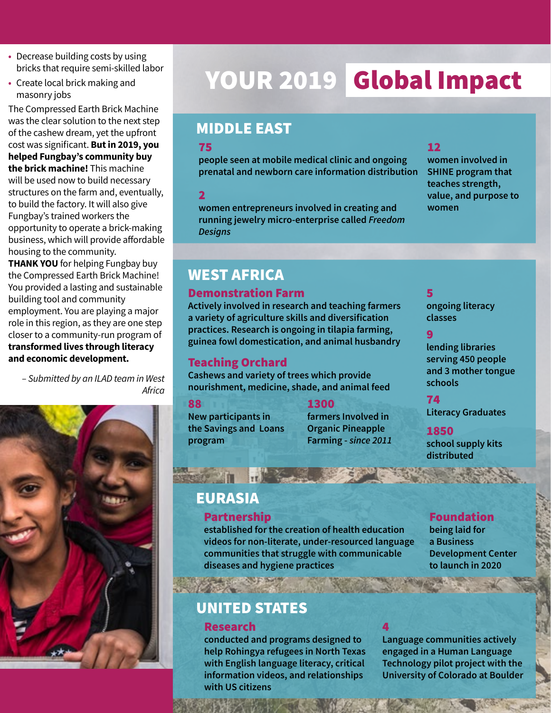- **•** Decrease building costs by using bricks that require semi-skilled labor
- **•** Create local brick making and masonry jobs

The Compressed Earth Brick Machine was the clear solution to the next step of the cashew dream, yet the upfront cost was significant. **But in 2019, you helped Fungbay's community buy the brick machine!** This machine will be used now to build necessary structures on the farm and, eventually, to build the factory. It will also give Fungbay's trained workers the opportunity to operate a brick-making business, which will provide affordable housing to the community.

**THANK YOU** for helping Fungbay buy the Compressed Earth Brick Machine! You provided a lasting and sustainable building tool and community employment. You are playing a major role in this region, as they are one step closer to a community-run program of **transformed lives through literacy and economic development.**

*– Submitted by an ILAD team in West Africa*



# YOUR 2019 Global Impact

### MIDDLE EAST

#### 75

**people seen at mobile medical clinic and ongoing prenatal and newborn care information distribution**

2

**women entrepreneurs involved in creating and running jewelry micro-enterprise called** *Freedom Designs*

### 12

**women involved in SHINE program that teaches strength, value, and purpose to women**

# WEST AFRICA

#### Demonstration Farm

**Actively involved in research and teaching farmers a variety of agriculture skills and diversification practices. Research is ongoing in tilapia farming, guinea fowl domestication, and animal husbandry**

### Teaching Orchard

**Cashews and variety of trees which provide nourishment, medicine, shade, and animal feed**

88

1300

**New participants in the Savings and Loans program**

**farmers Involved in Organic Pineapple Farming -** *since 2011*

#### 5

**ongoing literacy classes**

#### 9

**lending libraries serving 450 people and 3 mother tongue schools**

74

**Literacy Graduates**

#### 1850 **school supply kits distributed**

### EURASIA

 $\bar{v}$  in

#### Partnership

**established for the creation of health education videos for non-literate, under-resourced language communities that struggle with communicable diseases and hygiene practices**

# UNITED STATES

### Research

**conducted and programs designed to help Rohingya refugees in North Texas with English language literacy, critical information videos, and relationships with US citizens**

### Foundation

**being laid for a Business Development Center to launch in 2020**

4

**Language communities actively engaged in a Human Language Technology pilot project with the University of Colorado at Boulder**